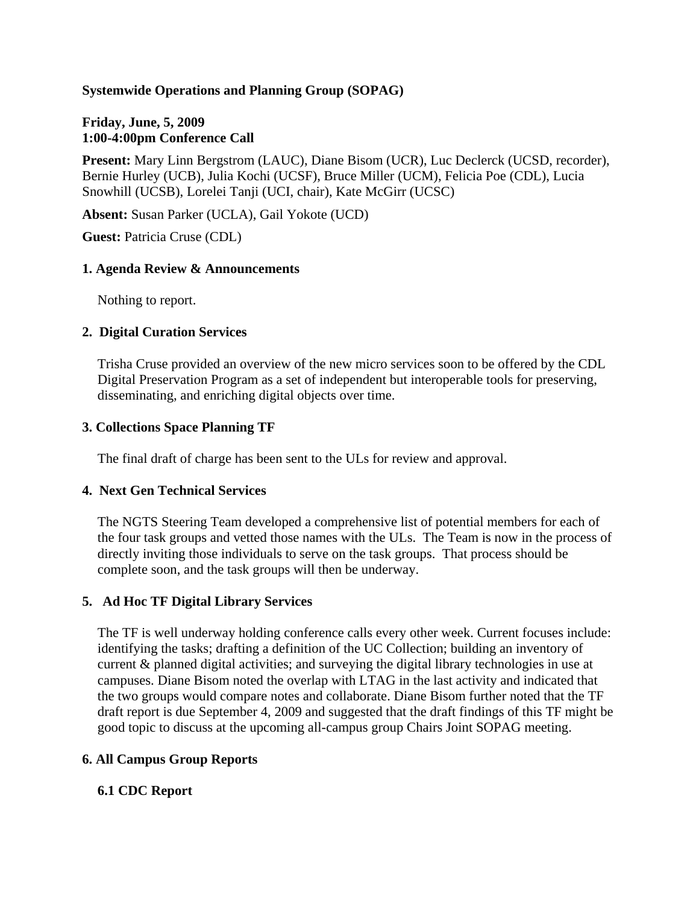## **Systemwide Operations and Planning Group (SOPAG)**

## **Friday, June, 5, 2009 1:00-4:00pm Conference Call**

**Present:** Mary Linn Bergstrom (LAUC), Diane Bisom (UCR), Luc Declerck (UCSD, recorder), Bernie Hurley (UCB), Julia Kochi (UCSF), Bruce Miller (UCM), Felicia Poe (CDL), Lucia Snowhill (UCSB), Lorelei Tanji (UCI, chair), Kate McGirr (UCSC)

**Absent:** Susan Parker (UCLA), Gail Yokote (UCD)

**Guest:** Patricia Cruse (CDL)

## **1. Agenda Review & Announcements**

Nothing to report.

## **2. Digital Curation Services**

Trisha Cruse provided an overview of the new micro services soon to be offered by the CDL Digital Preservation Program as a set of independent but interoperable tools for preserving, disseminating, and enriching digital objects over time.

## **3. Collections Space Planning TF**

The final draft of charge has been sent to the ULs for review and approval.

#### **4. Next Gen Technical Services**

The NGTS Steering Team developed a comprehensive list of potential members for each of the four task groups and vetted those names with the ULs. The Team is now in the process of directly inviting those individuals to serve on the task groups. That process should be complete soon, and the task groups will then be underway.

# **5. Ad Hoc TF Digital Library Services**

The TF is well underway holding conference calls every other week. Current focuses include: identifying the tasks; drafting a definition of the UC Collection; building an inventory of current & planned digital activities; and surveying the digital library technologies in use at campuses. Diane Bisom noted the overlap with LTAG in the last activity and indicated that the two groups would compare notes and collaborate. Diane Bisom further noted that the TF draft report is due September 4, 2009 and suggested that the draft findings of this TF might be good topic to discuss at the upcoming all-campus group Chairs Joint SOPAG meeting.

# **6. All Campus Group Reports**

# **6.1 CDC Report**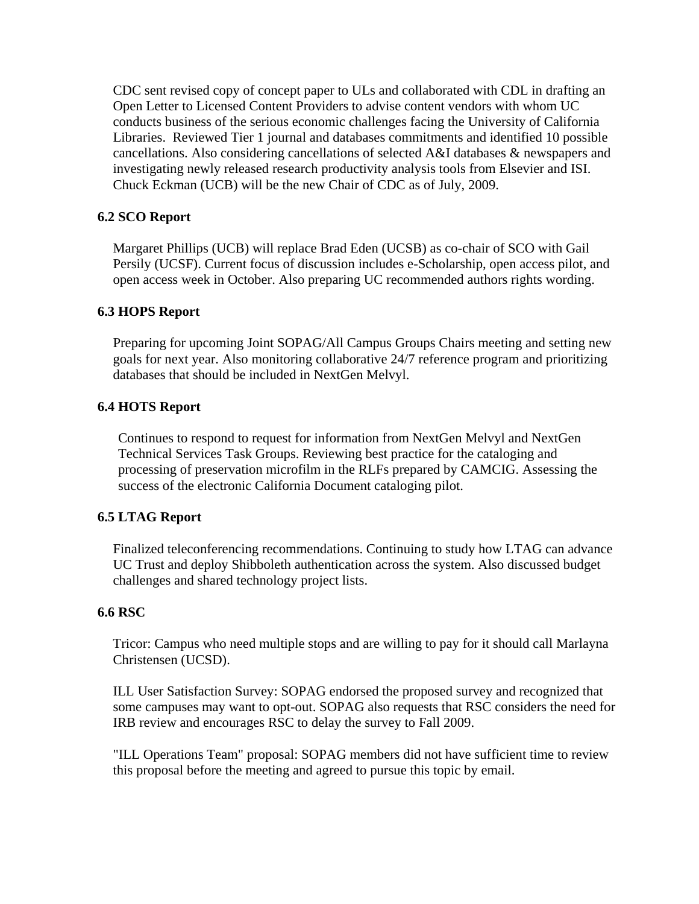CDC sent revised copy of concept paper to ULs and collaborated with CDL in drafting an Open Letter to Licensed Content Providers to advise content vendors with whom UC conducts business of the serious economic challenges facing the University of California Libraries. Reviewed Tier 1 journal and databases commitments and identified 10 possible cancellations. Also considering cancellations of selected A&I databases & newspapers and investigating newly released research productivity analysis tools from Elsevier and ISI. Chuck Eckman (UCB) will be the new Chair of CDC as of July, 2009.

# **6.2 SCO Report**

Margaret Phillips (UCB) will replace Brad Eden (UCSB) as co-chair of SCO with Gail Persily (UCSF). Current focus of discussion includes e-Scholarship, open access pilot, and open access week in October. Also preparing UC recommended authors rights wording.

#### **6.3 HOPS Report**

Preparing for upcoming Joint SOPAG/All Campus Groups Chairs meeting and setting new goals for next year. Also monitoring collaborative 24/7 reference program and prioritizing databases that should be included in NextGen Melvyl.

## **6.4 HOTS Report**

Continues to respond to request for information from NextGen Melvyl and NextGen Technical Services Task Groups. Reviewing best practice for the cataloging and processing of preservation microfilm in the RLFs prepared by CAMCIG. Assessing the success of the electronic California Document cataloging pilot.

# **6.5 LTAG Report**

Finalized teleconferencing recommendations. Continuing to study how LTAG can advance UC Trust and deploy Shibboleth authentication across the system. Also discussed budget challenges and shared technology project lists.

#### **6.6 RSC**

Tricor: Campus who need multiple stops and are willing to pay for it should call Marlayna Christensen (UCSD).

ILL User Satisfaction Survey: SOPAG endorsed the proposed survey and recognized that some campuses may want to opt-out. SOPAG also requests that RSC considers the need for IRB review and encourages RSC to delay the survey to Fall 2009.

"ILL Operations Team" proposal: SOPAG members did not have sufficient time to review this proposal before the meeting and agreed to pursue this topic by email.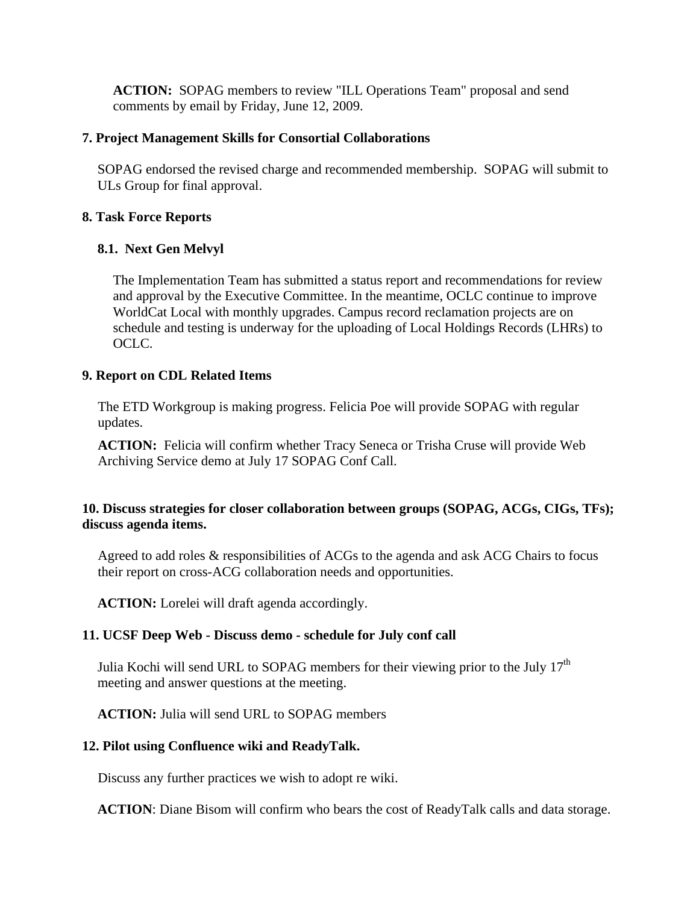**ACTION:** SOPAG members to review "ILL Operations Team" proposal and send comments by email by Friday, June 12, 2009.

#### **7. Project Management Skills for Consortial Collaborations**

SOPAG endorsed the revised charge and recommended membership. SOPAG will submit to ULs Group for final approval.

#### **8. Task Force Reports**

## **8.1. Next Gen Melvyl**

The Implementation Team has submitted a status report and recommendations for review and approval by the Executive Committee. In the meantime, OCLC continue to improve WorldCat Local with monthly upgrades. Campus record reclamation projects are on schedule and testing is underway for the uploading of Local Holdings Records (LHRs) to OCLC.

## **9. Report on CDL Related Items**

The ETD Workgroup is making progress. Felicia Poe will provide SOPAG with regular updates.

**ACTION:** Felicia will confirm whether Tracy Seneca or Trisha Cruse will provide Web Archiving Service demo at July 17 SOPAG Conf Call.

# **10. Discuss strategies for closer collaboration between groups (SOPAG, ACGs, CIGs, TFs); discuss agenda items.**

Agreed to add roles & responsibilities of ACGs to the agenda and ask ACG Chairs to focus their report on cross-ACG collaboration needs and opportunities.

**ACTION:** Lorelei will draft agenda accordingly.

# **11. UCSF Deep Web - Discuss demo - schedule for July conf call**

Julia Kochi will send URL to SOPAG members for their viewing prior to the July  $17<sup>th</sup>$ meeting and answer questions at the meeting.

**ACTION:** Julia will send URL to SOPAG members

#### **12. Pilot using Confluence wiki and ReadyTalk.**

Discuss any further practices we wish to adopt re wiki.

**ACTION**: Diane Bisom will confirm who bears the cost of ReadyTalk calls and data storage.